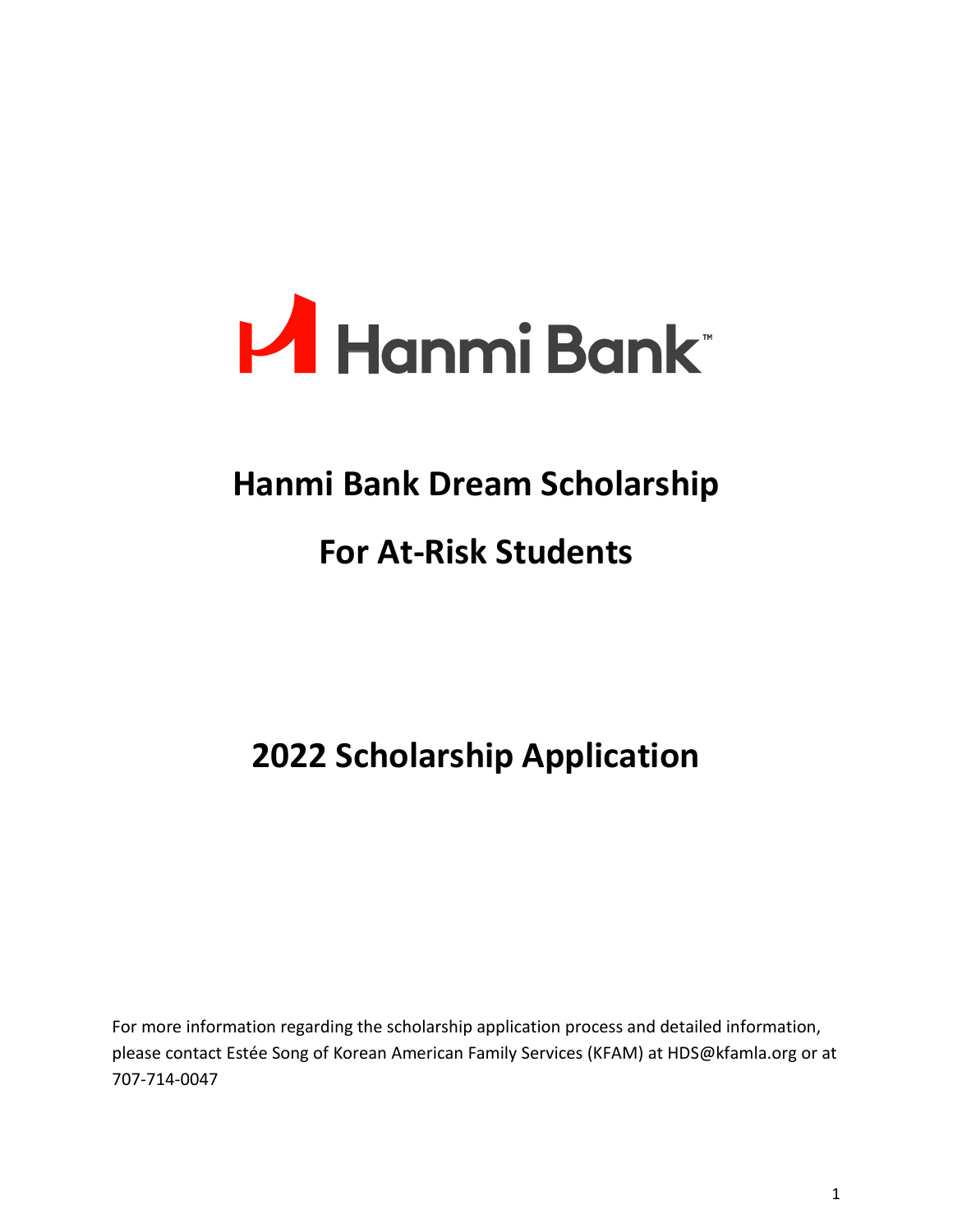

# **Hanmi Bank Dream Scholarship**

# **For At-Risk Students**

# **2022 Scholarship Application**

For more information regarding the scholarship application process and detailed information, please contact Estée Song of Korean American Family Services (KFAM) at HDS@kfamla.org or at 707-714-0047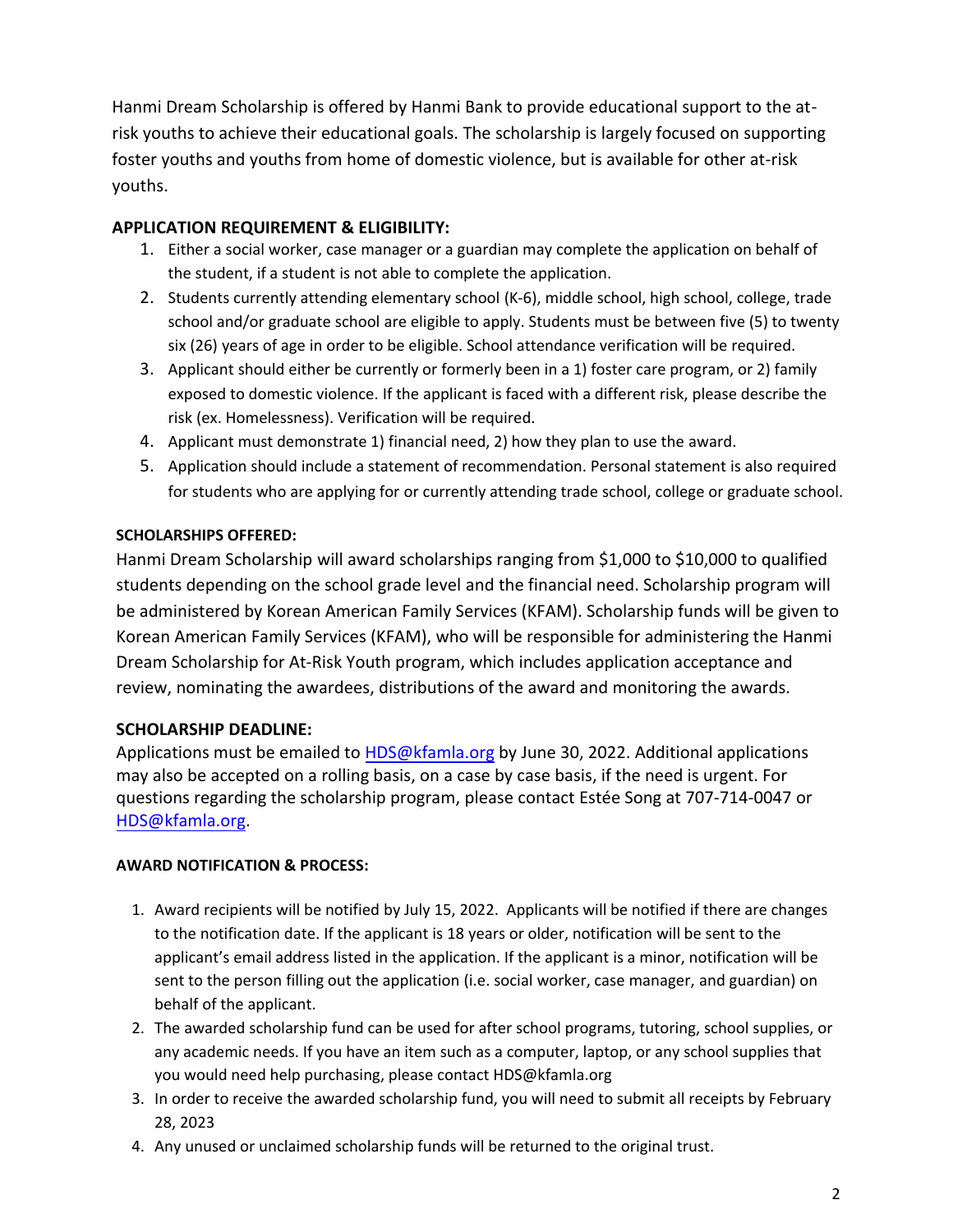Hanmi Dream Scholarship is offered by Hanmi Bank to provide educational support to the atrisk youths to achieve their educational goals. The scholarship is largely focused on supporting foster youths and youths from home of domestic violence, but is available for other at-risk youths.

#### **APPLICATION REQUIREMENT & ELIGIBILITY:**

- 1. Either a social worker, case manager or a guardian may complete the application on behalf of the student, if a student is not able to complete the application.
- 2. Students currently attending elementary school (K-6), middle school, high school, college, trade school and/or graduate school are eligible to apply. Students must be between five (5) to twenty six (26) years of age in order to be eligible. School attendance verification will be required.
- 3. Applicant should either be currently or formerly been in a 1) foster care program, or 2) family exposed to domestic violence. If the applicant is faced with a different risk, please describe the risk (ex. Homelessness). Verification will be required.
- 4. Applicant must demonstrate 1) financial need, 2) how they plan to use the award.
- 5. Application should include a statement of recommendation. Personal statement is also required for students who are applying for or currently attending trade school, college or graduate school.

#### **SCHOLARSHIPS OFFERED:**

Hanmi Dream Scholarship will award scholarships ranging from \$1,000 to \$10,000 to qualified students depending on the school grade level and the financial need. Scholarship program will be administered by Korean American Family Services (KFAM). Scholarship funds will be given to Korean American Family Services (KFAM), who will be responsible for administering the Hanmi Dream Scholarship for At-Risk Youth program, which includes application acceptance and review, nominating the awardees, distributions of the award and monitoring the awards.

#### **SCHOLARSHIP DEADLINE:**

Applications must be emailed to [HDS@kfamla.org](mailto:HDS@kfamla.org) by June 30, 2022. Additional applications may also be accepted on a rolling basis, on a case by case basis, if the need is urgent. For questions regarding the scholarship program, please contact Estée Song at 707-714-0047 or HDS@kfamla.org.

#### **AWARD NOTIFICATION & PROCESS:**

- 1. [Award recipie](mailto:jalee@kfamla.org)nts will be notified by July 15, 2022. Applicants will be notified if there are changes to the notification date. If the applicant is 18 years or older, notification will be sent to the applicant's email address listed in the application. If the applicant is a minor, notification will be sent to the person filling out the application (i.e. social worker, case manager, and guardian) on behalf of the applicant.
- 2. The awarded scholarship fund can be used for after school programs, tutoring, school supplies, or any academic needs. If you have an item such as a computer, laptop, or any school supplies that you would need help purchasing, please contact HDS@kfamla.org
- 3. In order to receive the awarded scholarship fund, you will need to submit all receipts by February 28, 2023
- 4. Any unused or unclaimed scholarship funds will be returned to the original trust.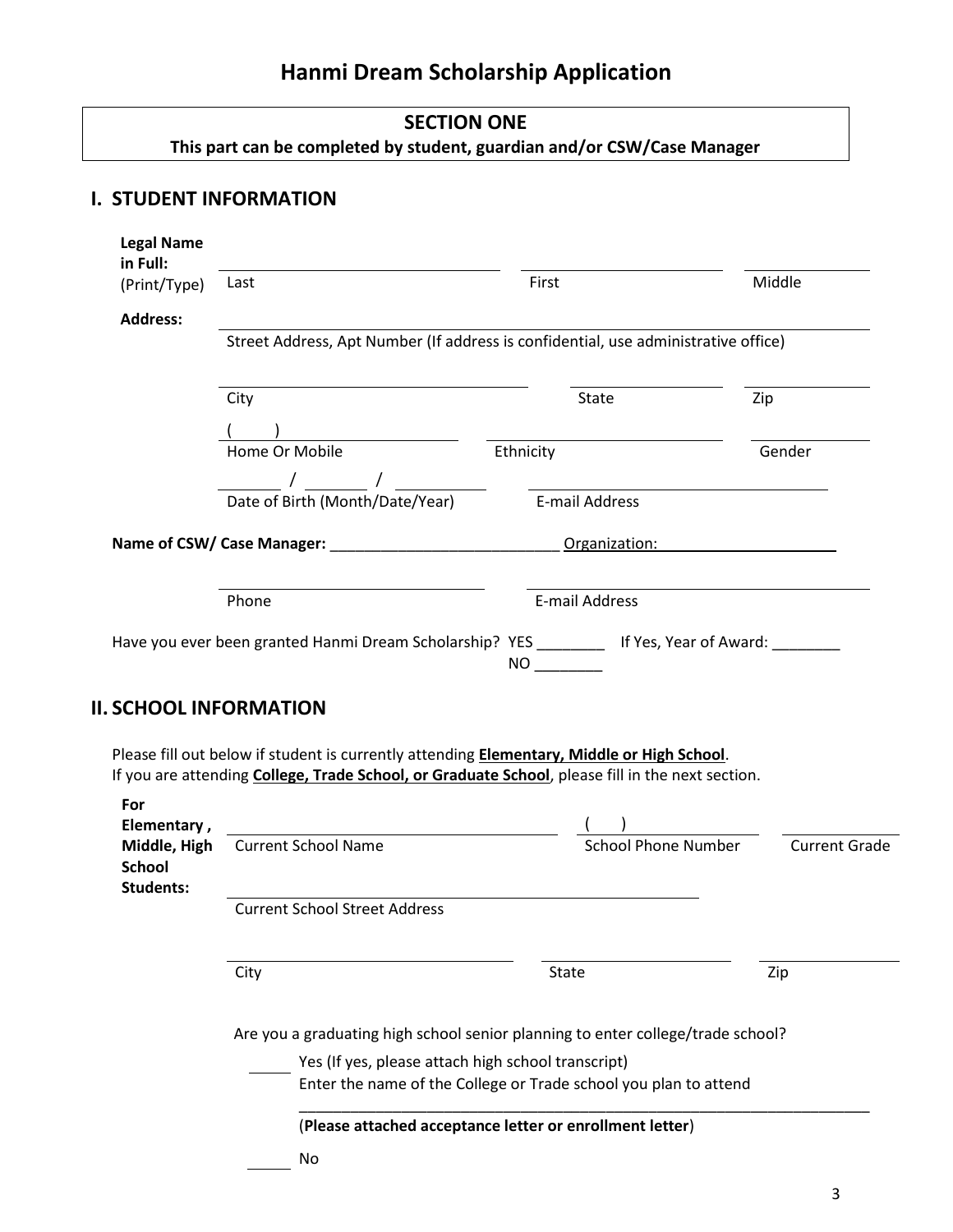# **Hanmi Dream Scholarship Application**

# **SECTION ONE This part can be completed by student, guardian and/or CSW/Case Manager**

## **I. STUDENT INFORMATION**

| <b>Legal Name</b><br>in Full: |                                                                                                                                                                                                                                                                                                                                                                                        |                                                                                                                                                                                                        |                      |  |  |
|-------------------------------|----------------------------------------------------------------------------------------------------------------------------------------------------------------------------------------------------------------------------------------------------------------------------------------------------------------------------------------------------------------------------------------|--------------------------------------------------------------------------------------------------------------------------------------------------------------------------------------------------------|----------------------|--|--|
| (Print/Type)                  | Last                                                                                                                                                                                                                                                                                                                                                                                   | First                                                                                                                                                                                                  | Middle               |  |  |
| <b>Address:</b>               | Street Address, Apt Number (If address is confidential, use administrative office)                                                                                                                                                                                                                                                                                                     |                                                                                                                                                                                                        |                      |  |  |
|                               |                                                                                                                                                                                                                                                                                                                                                                                        |                                                                                                                                                                                                        |                      |  |  |
|                               | City                                                                                                                                                                                                                                                                                                                                                                                   | State                                                                                                                                                                                                  | Zip                  |  |  |
|                               |                                                                                                                                                                                                                                                                                                                                                                                        |                                                                                                                                                                                                        |                      |  |  |
|                               | Home Or Mobile<br>$\frac{1}{\sqrt{2}}$ $\frac{1}{\sqrt{2}}$ $\frac{1}{\sqrt{2}}$ $\frac{1}{\sqrt{2}}$ $\frac{1}{\sqrt{2}}$ $\frac{1}{\sqrt{2}}$ $\frac{1}{\sqrt{2}}$ $\frac{1}{\sqrt{2}}$ $\frac{1}{\sqrt{2}}$ $\frac{1}{\sqrt{2}}$ $\frac{1}{\sqrt{2}}$ $\frac{1}{\sqrt{2}}$ $\frac{1}{\sqrt{2}}$ $\frac{1}{\sqrt{2}}$ $\frac{1}{\sqrt{2}}$ $\frac{1}{\sqrt{2}}$ $\frac{1}{\sqrt{2}}$ | Ethnicity                                                                                                                                                                                              | Gender               |  |  |
|                               | Date of Birth (Month/Date/Year)                                                                                                                                                                                                                                                                                                                                                        | E-mail Address                                                                                                                                                                                         |                      |  |  |
|                               | Name of CSW/ Case Manager: __________________________________ Organization:                                                                                                                                                                                                                                                                                                            |                                                                                                                                                                                                        |                      |  |  |
|                               | Phone                                                                                                                                                                                                                                                                                                                                                                                  | E-mail Address                                                                                                                                                                                         |                      |  |  |
|                               | <b>II. SCHOOL INFORMATION</b>                                                                                                                                                                                                                                                                                                                                                          | Have you ever been granted Hanmi Dream Scholarship? YES __________ If Yes, Year of Award: ________                                                                                                     |                      |  |  |
|                               |                                                                                                                                                                                                                                                                                                                                                                                        | Please fill out below if student is currently attending <b>Elementary, Middle or High School</b> .<br>If you are attending College, Trade School, or Graduate School, please fill in the next section. |                      |  |  |
| For<br>Elementary,            |                                                                                                                                                                                                                                                                                                                                                                                        |                                                                                                                                                                                                        |                      |  |  |
| Middle, High<br><b>School</b> | <b>Current School Name</b>                                                                                                                                                                                                                                                                                                                                                             | <b>School Phone Number</b>                                                                                                                                                                             |                      |  |  |
| <b>Students:</b>              | <b>Current School Street Address</b>                                                                                                                                                                                                                                                                                                                                                   |                                                                                                                                                                                                        |                      |  |  |
|                               | City                                                                                                                                                                                                                                                                                                                                                                                   | State                                                                                                                                                                                                  | Zip                  |  |  |
|                               |                                                                                                                                                                                                                                                                                                                                                                                        | Are you a graduating high school senior planning to enter college/trade school?                                                                                                                        |                      |  |  |
|                               | Yes (If yes, please attach high school transcript)                                                                                                                                                                                                                                                                                                                                     |                                                                                                                                                                                                        |                      |  |  |
|                               |                                                                                                                                                                                                                                                                                                                                                                                        | Enter the name of the College or Trade school you plan to attend                                                                                                                                       | <b>Current Grade</b> |  |  |
|                               |                                                                                                                                                                                                                                                                                                                                                                                        | (Please attached acceptance letter or enrollment letter)                                                                                                                                               |                      |  |  |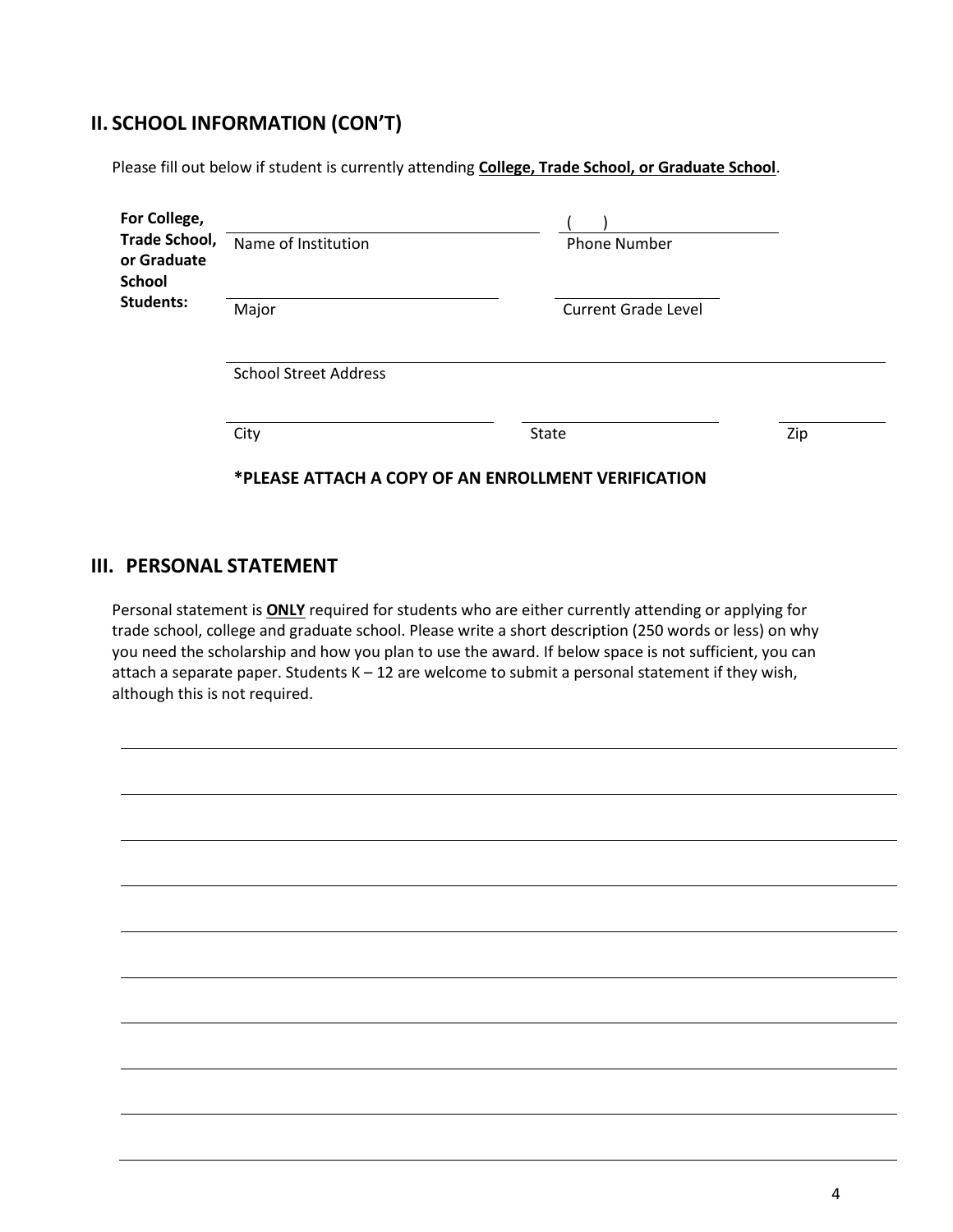# **II. SCHOOL INFORMATION (CON'T)**

Please fill out below if student is currently attending **College, Trade School, or Graduate School**.

| For College,<br><b>Trade School,</b><br>or Graduate<br><b>School</b> | Name of Institution          | <b>Phone Number</b>                                 |     |
|----------------------------------------------------------------------|------------------------------|-----------------------------------------------------|-----|
| <b>Students:</b>                                                     | Major                        | <b>Current Grade Level</b>                          |     |
|                                                                      | <b>School Street Address</b> |                                                     |     |
|                                                                      | City                         | State                                               | Zip |
|                                                                      |                              | *PLEASE ATTACH A COPY OF AN ENROLLMENT VERIFICATION |     |

#### **III. PERSONAL STATEMENT**

Personal statement is **ONLY** required for students who are either currently attending or applying for trade school, college and graduate school. Please write a short description (250 words or less) on why you need the scholarship and how you plan to use the award. If below space is not sufficient, you can attach a separate paper. Students  $K - 12$  are welcome to submit a personal statement if they wish, although this is not required.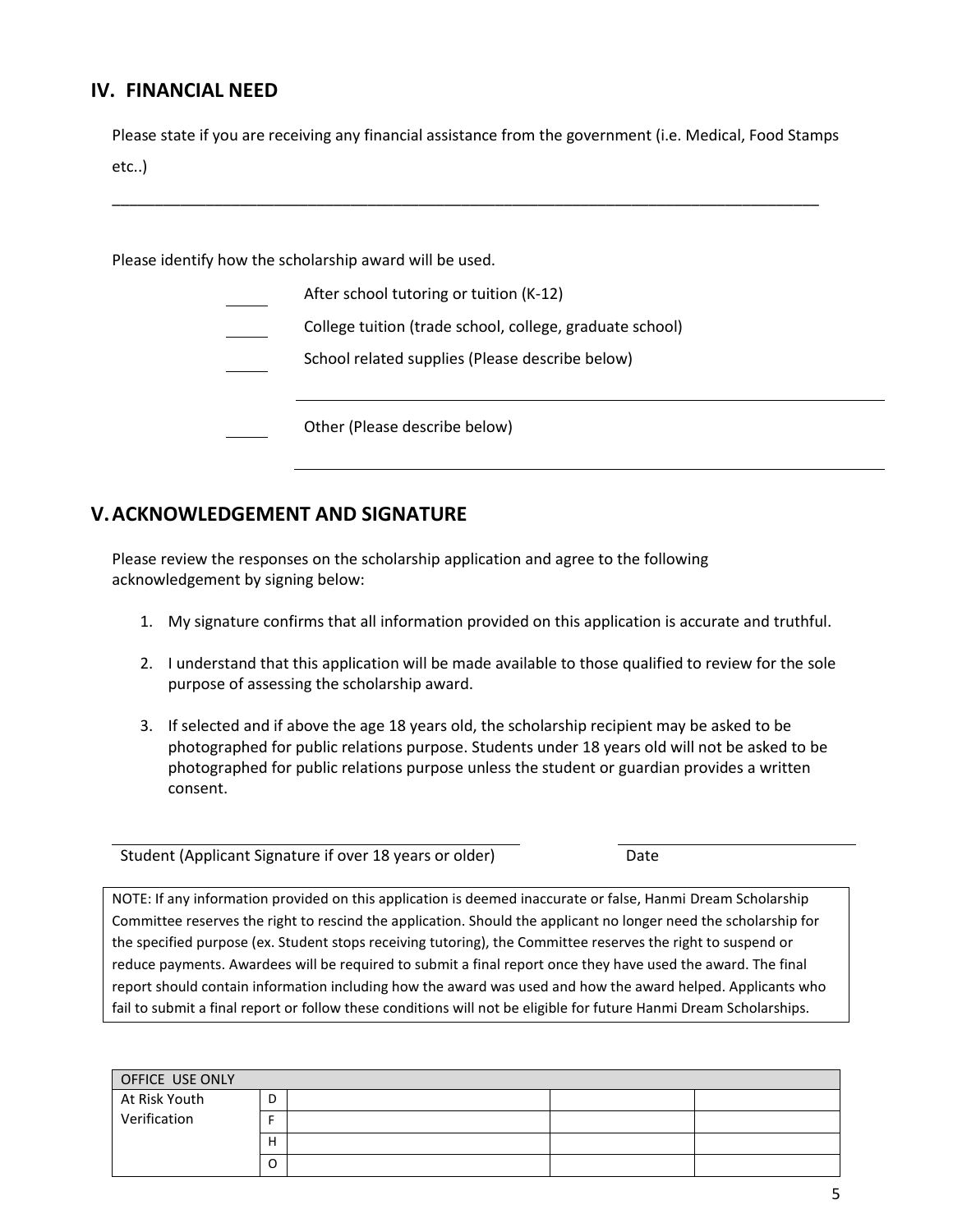#### **IV. FINANCIAL NEED**

Please state if you are receiving any financial assistance from the government (i.e. Medical, Food Stamps etc..)

\_\_\_\_\_\_\_\_\_\_\_\_\_\_\_\_\_\_\_\_\_\_\_\_\_\_\_\_\_\_\_\_\_\_\_\_\_\_\_\_\_\_\_\_\_\_\_\_\_\_\_\_\_\_\_\_\_\_\_\_\_\_\_\_\_\_\_\_\_\_\_\_\_\_\_\_\_\_\_\_\_\_\_

Please identify how the scholarship award will be used.

After school tutoring or tuition (K-12) College tuition (trade school, college, graduate school) School related supplies (Please describe below) Other (Please describe below)

### **V.ACKNOWLEDGEMENT AND SIGNATURE**

Please review the responses on the scholarship application and agree to the following acknowledgement by signing below:

- 1. My signature confirms that all information provided on this application is accurate and truthful.
- 2. I understand that this application will be made available to those qualified to review for the sole purpose of assessing the scholarship award.
- 3. If selected and if above the age 18 years old, the scholarship recipient may be asked to be photographed for public relations purpose. Students under 18 years old will not be asked to be photographed for public relations purpose unless the student or guardian provides a written consent.

Student (Applicant Signature if over 18 years or older) Date

NOTE: If any information provided on this application is deemed inaccurate or false, Hanmi Dream Scholarship Committee reserves the right to rescind the application. Should the applicant no longer need the scholarship for the specified purpose (ex. Student stops receiving tutoring), the Committee reserves the right to suspend or reduce payments. Awardees will be required to submit a final report once they have used the award. The final report should contain information including how the award was used and how the award helped. Applicants who fail to submit a final report or follow these conditions will not be eligible for future Hanmi Dream Scholarships.

| OFFICE USE ONLY |   |  |  |
|-----------------|---|--|--|
| At Risk Youth   | D |  |  |
| Verification    |   |  |  |
|                 | H |  |  |
|                 | O |  |  |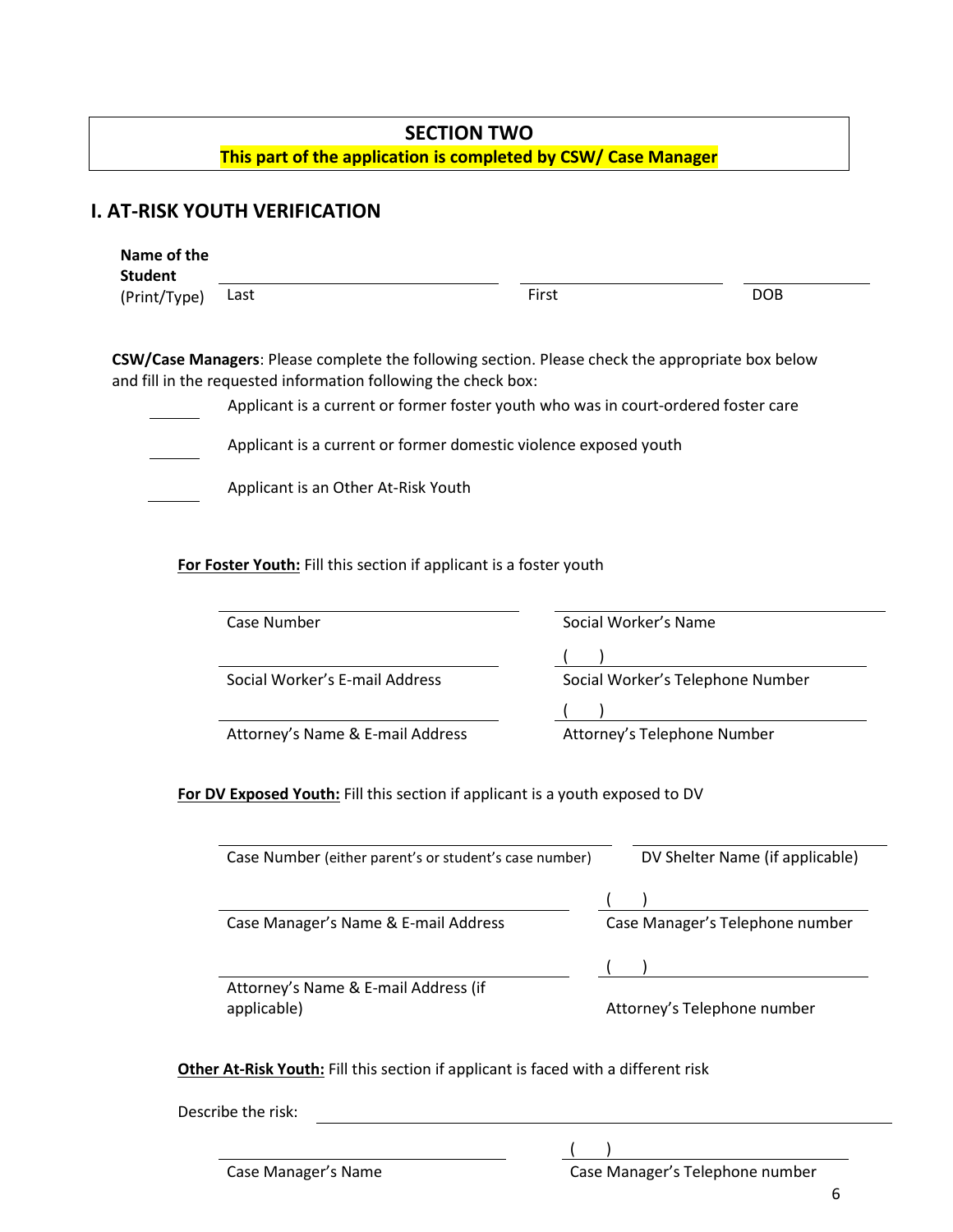## **SECTION TWO This part of the application is completed by CSW/ Case Manager**

# **I. AT-RISK YOUTH VERIFICATION**

| First<br><b>DOB</b><br>Last<br>(Print/Type)<br>CSW/Case Managers: Please complete the following section. Please check the appropriate box below<br>and fill in the requested information following the check box:<br>Applicant is a current or former foster youth who was in court-ordered foster care<br>Applicant is a current or former domestic violence exposed youth<br>Applicant is an Other At-Risk Youth<br>For Foster Youth: Fill this section if applicant is a foster youth<br>Case Number<br>Social Worker's Name<br>Social Worker's E-mail Address<br>Social Worker's Telephone Number<br>Attorney's Telephone Number<br>Attorney's Name & E-mail Address<br>For DV Exposed Youth: Fill this section if applicant is a youth exposed to DV<br>Case Number (either parent's or student's case number)<br>Case Manager's Name & E-mail Address<br>Case Manager's Telephone number | Name of the<br><b>Student</b> |  |                                 |
|------------------------------------------------------------------------------------------------------------------------------------------------------------------------------------------------------------------------------------------------------------------------------------------------------------------------------------------------------------------------------------------------------------------------------------------------------------------------------------------------------------------------------------------------------------------------------------------------------------------------------------------------------------------------------------------------------------------------------------------------------------------------------------------------------------------------------------------------------------------------------------------------|-------------------------------|--|---------------------------------|
|                                                                                                                                                                                                                                                                                                                                                                                                                                                                                                                                                                                                                                                                                                                                                                                                                                                                                                |                               |  |                                 |
|                                                                                                                                                                                                                                                                                                                                                                                                                                                                                                                                                                                                                                                                                                                                                                                                                                                                                                |                               |  |                                 |
|                                                                                                                                                                                                                                                                                                                                                                                                                                                                                                                                                                                                                                                                                                                                                                                                                                                                                                |                               |  |                                 |
|                                                                                                                                                                                                                                                                                                                                                                                                                                                                                                                                                                                                                                                                                                                                                                                                                                                                                                |                               |  |                                 |
|                                                                                                                                                                                                                                                                                                                                                                                                                                                                                                                                                                                                                                                                                                                                                                                                                                                                                                |                               |  |                                 |
|                                                                                                                                                                                                                                                                                                                                                                                                                                                                                                                                                                                                                                                                                                                                                                                                                                                                                                |                               |  |                                 |
|                                                                                                                                                                                                                                                                                                                                                                                                                                                                                                                                                                                                                                                                                                                                                                                                                                                                                                |                               |  |                                 |
|                                                                                                                                                                                                                                                                                                                                                                                                                                                                                                                                                                                                                                                                                                                                                                                                                                                                                                |                               |  |                                 |
|                                                                                                                                                                                                                                                                                                                                                                                                                                                                                                                                                                                                                                                                                                                                                                                                                                                                                                |                               |  |                                 |
|                                                                                                                                                                                                                                                                                                                                                                                                                                                                                                                                                                                                                                                                                                                                                                                                                                                                                                |                               |  |                                 |
|                                                                                                                                                                                                                                                                                                                                                                                                                                                                                                                                                                                                                                                                                                                                                                                                                                                                                                |                               |  |                                 |
|                                                                                                                                                                                                                                                                                                                                                                                                                                                                                                                                                                                                                                                                                                                                                                                                                                                                                                |                               |  |                                 |
|                                                                                                                                                                                                                                                                                                                                                                                                                                                                                                                                                                                                                                                                                                                                                                                                                                                                                                |                               |  |                                 |
|                                                                                                                                                                                                                                                                                                                                                                                                                                                                                                                                                                                                                                                                                                                                                                                                                                                                                                |                               |  |                                 |
|                                                                                                                                                                                                                                                                                                                                                                                                                                                                                                                                                                                                                                                                                                                                                                                                                                                                                                |                               |  |                                 |
|                                                                                                                                                                                                                                                                                                                                                                                                                                                                                                                                                                                                                                                                                                                                                                                                                                                                                                |                               |  | DV Shelter Name (if applicable) |
|                                                                                                                                                                                                                                                                                                                                                                                                                                                                                                                                                                                                                                                                                                                                                                                                                                                                                                |                               |  |                                 |
|                                                                                                                                                                                                                                                                                                                                                                                                                                                                                                                                                                                                                                                                                                                                                                                                                                                                                                |                               |  |                                 |
|                                                                                                                                                                                                                                                                                                                                                                                                                                                                                                                                                                                                                                                                                                                                                                                                                                                                                                |                               |  |                                 |
| Attorney's Name & E-mail Address (if<br>Attorney's Telephone number<br>applicable)                                                                                                                                                                                                                                                                                                                                                                                                                                                                                                                                                                                                                                                                                                                                                                                                             |                               |  |                                 |

| Describe the risk: |  |  |
|--------------------|--|--|
|--------------------|--|--|

Case Manager's Name Case Manager's Telephone number